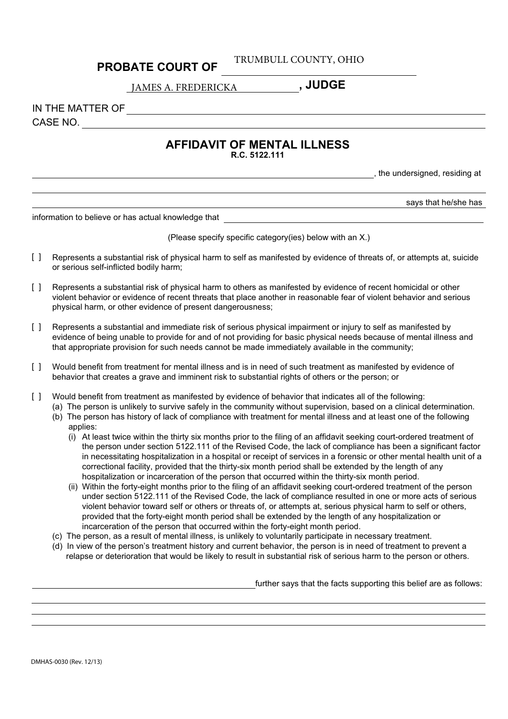## **PROBATE COURT OF**

TRUMBULL COUNTY, OHIO

**, JUDGE** JAMES A. FREDERICKA

IN THE MATTER OF

CASE NO.

## **AFFIDAVIT OF MENTAL ILLNESS**

**R.C. 5122.111**

, the undersigned, residing at

says that he/she has

information to believe or has actual knowledge that

(Please specify specific category(ies) below with an X.)

- Represents a substantial risk of physical harm to self as manifested by evidence of threats of, or attempts at, suicide or serious self-inflicted bodily harm;  $\lceil$   $\rceil$
- Represents a substantial risk of physical harm to others as manifested by evidence of recent homicidal or other violent behavior or evidence of recent threats that place another in reasonable fear of violent behavior and serious physical harm, or other evidence of present dangerousness;  $\Box$
- Represents a substantial and immediate risk of serious physical impairment or injury to self as manifested by evidence of being unable to provide for and of not providing for basic physical needs because of mental illness and that appropriate provision for such needs cannot be made immediately available in the community;  $\lceil$   $\rceil$
- Would benefit from treatment for mental illness and is in need of such treatment as manifested by evidence of behavior that creates a grave and imminent risk to substantial rights of others or the person; or  $\Box$
- Would benefit from treatment as manifested by evidence of behavior that indicates all of the following:  $\Box$ 
	- (a) The person is unlikely to survive safely in the community without supervision, based on a clinical determination.
	- (b) The person has history of lack of compliance with treatment for mental illness and at least one of the following applies:
		- (i) At least twice within the thirty six months prior to the filing of an affidavit seeking court-ordered treatment of the person under section 5122.111 of the Revised Code, the lack of compliance has been a significant factor in necessitating hospitalization in a hospital or receipt of services in a forensic or other mental health unit of a correctional facility, provided that the thirty-six month period shall be extended by the length of any hospitalization or incarceration of the person that occurred within the thirty-six month period.
		- (ii) Within the forty-eight months prior to the filing of an affidavit seeking court-ordered treatment of the person under section 5122.111 of the Revised Code, the lack of compliance resulted in one or more acts of serious violent behavior toward self or others or threats of, or attempts at, serious physical harm to self or others, provided that the forty-eight month period shall be extended by the length of any hospitalization or incarceration of the person that occurred within the forty-eight month period.
	- (c) The person, as a result of mental illness, is unlikely to voluntarily participate in necessary treatment.
	- (d) In view of the person's treatment history and current behavior, the person is in need of treatment to prevent a relapse or deterioration that would be likely to result in substantial risk of serious harm to the person or others.

further says that the facts supporting this belief are as follows: